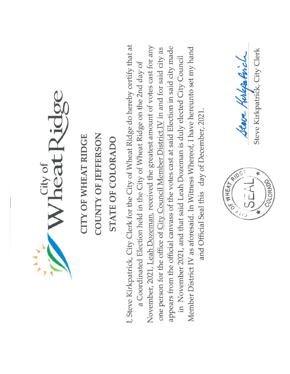Wheat Ridge

I, Steve Kirkpatrick, City Clerk for the City of Wheat Ridge do hereby certify that at

November, 2021, Leah Dozeman, received the greatest amount of votes cast for any appears from the official canvass of the votes cast at said Election in said city made one person for the office of City Council Member District IV in and for said city as in November 2021, and that said Leah Dozeman is duly elected City Council a Coordinated Election held in the City of Wheat Ridge on the 2nd day of

Member District IV as aforesaid. In Witness Whereof, I have hereunto set my hand and Official Seal this day of December, 2021.

Steve Kirkpatrick, City Clerk Steve Hulpatrich **RATES** COLORADO

ing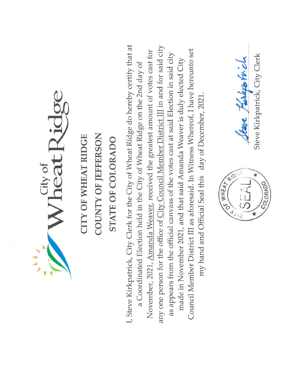Wheat Ridge

I, Steve Kirkpatrick, City Clerk for the City of Wheat Ridge do hereby certify that at any one person for the office of City Council Member District III in and for said city Council Member District III as aforesaid. In Witness Whereof, I have hereunto set November, 2021, Amanda Weaver, received the greatest amount of votes cast for as appears from the official canvass of the votes cast at said Election in said city made in November 2021, and that said Amanda Weaver is duly elected City a Coordinated Election held in the City of Wheat Ridge on the 2nd day of my hand and Official Seal this day of December, 2021.



Steve Kirkpatrick, City Clerk Seare Kirlyon Frich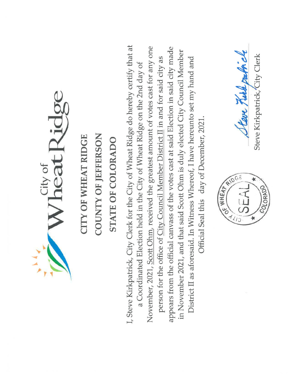Wheat Ridge

I, Steve Kirkpatrick, City Clerk for the City of Wheat Ridge do hereby certify that at November, 2021, Scott Ohm, received the greatest amount of votes cast for any one appears from the official canvass of the votes cast at said Election in said city made in November 2021, and that said Scott Ohm is duly elected City Council Member person for the office of City Council Member District II in and for said city as District II as aforesaid. In Witness Whereof, I have hereunto set my hand and a Coordinated Election held in the City of Wheat Ridge on the 2nd day of Official Seal this day of December, 2021.



Steve Turk oak il Steve Kirkpatrick, City Clerk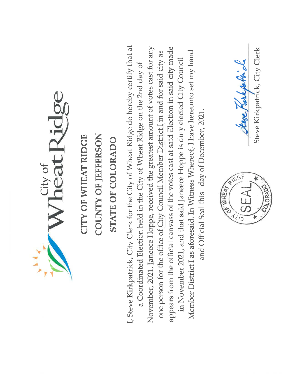Wheat Ridge

I, Steve Kirkpatrick, City Clerk for the City of Wheat Ridge do hereby certify that at November, 2021, Janeece Hoppe, received the greatest amount of votes cast for any appears from the official canvass of the votes cast at said Election in said city made one person for the office of City Council Member District I in and for said city as Member District I as aforesaid. In Witness Whereof, I have hereunto set my hand in November 2021, and that said Janeece Hoppe is duly elected City Council a Coordinated Election held in the City of Wheat Ridge on the 2nd day of and Official Seal this day of December, 2021.



Steve Kirkpatrick, City Clerk Steep Rushpolin ch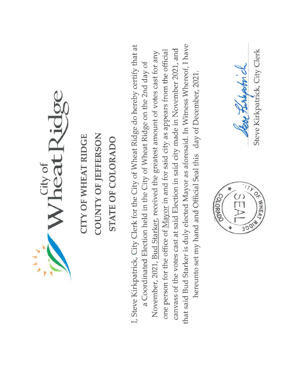Wheat Ridge

that said Bud Starker is duly elected Mayor as aforesaid. In Witness Whereof, I have I, Steve Kirkpatrick, City Clerk for the City of Wheat Ridge do hereby certify that at canvass of the votes cast at said Election in said city made in November 2021, and one person for the office of Mayor in and for said city as appears from the official November, 2021, Bud Starker, received the greatest amount of votes cast for any a Coordinated Election held in the City of Wheat Ridge on the 2nd day of hereunto set my hand and Official Seal this day of December, 2021.



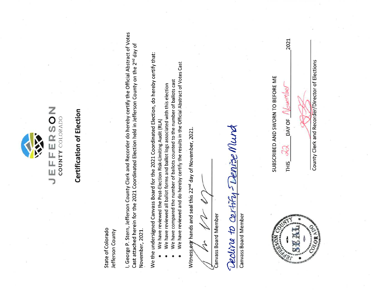

### **Certification of Election**

COUNTY COLORADO

State of Colorado Jefferson County I, George P. Stern, Jefferson County Clerk and Recorder do hereby certify the Official Abstract of Votes Cast attached herein for the 2021 Coordinated Election held in Jefferson County on the 2<sup>nd</sup> day of November, 2021.

We the undersigned Canvass Board for the 2021 Coordinated Election, do hereby certify that:

- We have reviewed the Post-Election Risk-Limiting Audit (RLA)
- We have reviewed all ballot forms and ballot logs associated with this election
- We have compared the number of ballots counted to the number of ballots cast
- We have reviewed and do hereby certify the results in the Official Abstract of Votes Cast

Witness our hands and seal this 22<sup>nd</sup> day of November, 2021

Canvass Board Member

Decline to certify-Denize Mund

Canvass Board Member



SUBSCRIBED AND SWORN TO BEFORE ME

DAY OF F **THIS** 

agwar

2021

County Clerk and Recorder/Director of Elections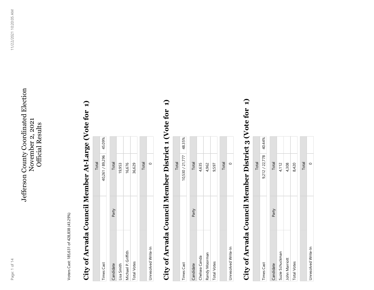#### Jefferson County Coordinated Election Jefferson County Coordinated Election November 2, 2021 November 2, 2021 **Official Results** Official Results

Voters Cast: 185,631 of 428,838 (43.29%) Voters Cast: 185,631 of 428,838 (43.29%)

# City of Arvada Council Member At-Large (Vote for 1) **City of Arvada Council Member At-Large (Vote for 1)**

Total

| <b>Times Cast</b>   |       | 40,261 / 89,296 45.09% |  |
|---------------------|-------|------------------------|--|
|                     |       |                        |  |
| Candidate           | Party | Total                  |  |
| Lisa Smith          |       | 19,953                 |  |
| Michael P. Griffith |       | 16,676                 |  |
| <b>Total Votes</b>  |       | 36,629                 |  |
|                     |       | Total                  |  |
| Unresolved Write-In |       |                        |  |

# City of Arvada Council Member District 1 (Vote for 1) **City of Arvada Council Member District 1 (Vote for 1)**

|                     |       | Total                  |  |
|---------------------|-------|------------------------|--|
| <b>Times Cast</b>   |       | 10,530 / 21,777 48.35% |  |
| Candidate           | Party | Total                  |  |
| Chelsea Canda       |       | 4,635                  |  |
| Randy Moorman       |       | 4,962                  |  |
| <b>Total Votes</b>  |       | 9,597                  |  |
|                     |       | Total                  |  |
| Unresolved Write-In |       |                        |  |
|                     |       |                        |  |

# City of Arvada Council Member District 3 (Vote for 1) **City of Arvada Council Member District 3 (Vote for 1)**

|                     |       | Total          |        |
|---------------------|-------|----------------|--------|
| <b>Times Cast</b>   |       | 9,212 / 22,778 | 40.44% |
| Candidate           | Party | Total          |        |
| Suzie Schuckman     |       | 4,112          |        |
| John Marriott       |       | 4,308          |        |
| Total Votes         |       | 8,420          |        |
|                     |       | Total          |        |
| Unresolved Write-In |       |                |        |
|                     |       |                |        |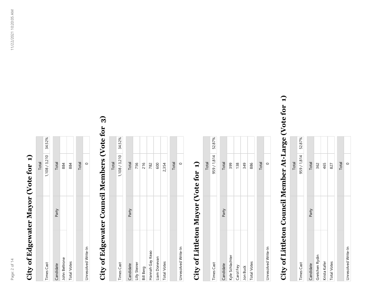#### City of Edgewater Mayor (Vote for 1) **City of Edgewater Mayor (Vote for 1)**

|                     |       | Total                |  |
|---------------------|-------|----------------------|--|
| <b>Times Cast</b>   |       | 1,108 / 3,210 34.52% |  |
| Candidate           | Party | Total                |  |
| John Beltrone       |       | 884                  |  |
| <b>Total Votes</b>  |       | 884                  |  |
|                     |       | Total                |  |
| Unresolved Write-In |       |                      |  |

### City of Edgewater Council Members (Vote for 3) **City of Edgewater Council Members (Vote for 3)**

|                     |       | Total         |        |
|---------------------|-------|---------------|--------|
| <b>Times Cast</b>   |       | 1,108 / 3,210 | 34.52% |
| Candidate           | Party | Total         |        |
| Lilly Steirer       |       | 756           |        |
| <b>Bill Berg</b>    |       | 216           |        |
| Hannah Gay Keao     |       | 782           |        |
| Liam Donevan        |       | 600           |        |
| <b>Total Votes</b>  |       | 2,354         |        |
|                     |       | Total         |        |
| Unresolved Write-In |       |               |        |

#### City of Littleton Mayor (Vote for 1) **City of Littleton Mayor (Vote for 1)**

|                     |       | Total              |  |
|---------------------|-------|--------------------|--|
| <b>Times Cast</b>   |       | 959 / 1,814 52.87% |  |
|                     |       |                    |  |
| Candidate           | Party | Total              |  |
| Kyle Schlachter     |       | 399                |  |
| Carol Fey           |       | 138                |  |
| Jon Buck            |       | 349                |  |
| <b>Total Votes</b>  |       | 886                |  |
|                     |       |                    |  |
|                     |       | Total              |  |
| Unresolved Write-In |       |                    |  |
|                     |       |                    |  |

# City of Littleton Council Member At-Large (Vote for 1) **City of Littleton Council Member At-Large (Vote for 1)**

|                     |       | Total       |        |
|---------------------|-------|-------------|--------|
| <b>Times Cast</b>   |       | 959 / 1,814 | 52.87% |
| Candidate           | Party | Total       |        |
| Gretchen Rydin      |       | 362         |        |
| Krista Kafer        |       | 465         |        |
| <b>Total Votes</b>  |       | 827         |        |
|                     |       | Total       |        |
| Unresolved Write-In |       |             |        |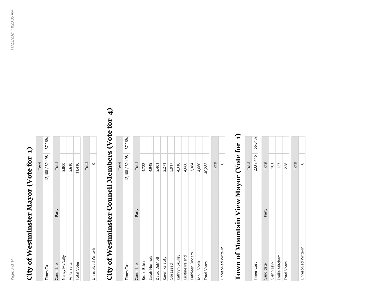### **City of Westminster Mayor (Vote for 1)**  City of Westminster Mayor (Vote for 1)

|                     |       | Total                  |  |
|---------------------|-------|------------------------|--|
| <b>Times Cast</b>   |       | 12,108 / 32,498 37.26% |  |
|                     |       |                        |  |
| Candidate           | Party | <b>Total</b>           |  |
| Nancy McNally       |       | 5,800                  |  |
| Anita Seitz         |       | 5,610                  |  |
| <b>Total Votes</b>  |       | 11,410                 |  |
|                     |       |                        |  |
|                     |       | Total                  |  |
| Unresolved Write-In |       |                        |  |

## **City of Westminster Council Members (Vote for 4)**  City of Westminster Council Members (Vote for 4)

|                     |       | Total           |        |
|---------------------|-------|-----------------|--------|
| <b>Times Cast</b>   |       | 12,108 / 32,498 | 37.26% |
| Candidate           | Party | Total           |        |
| <b>Bruce Baker</b>  |       | 4,722           |        |
| Sarah Nurmela       |       | 4,949           |        |
| David DeMott        |       | 5,401           |        |
| Karen Kalavity      |       | 2,271           |        |
| Obi Ezeadi          |       | 5,917           |        |
| Kathryn Skulley     |       | 4,318           |        |
| Kristine Ireland    |       | 4,660           |        |
| Kathleen Dodaro     |       | 3,384           |        |
| Jon L. Voelz        |       | 4,660           |        |
| <b>Total Votes</b>  |       | 40,282          |        |
|                     |       | Total           |        |
| Unresolved Write-In |       | $\circ$         |        |

### **Town of Mountain View Mayor (Vote for 1)**  Town of Mountain View Mayor (Vote for 1)

|                     |       | Total          |  |
|---------------------|-------|----------------|--|
| Times Cast          |       | 233/416 56.01% |  |
| Candidate           | Party | Total          |  |
| Glenn Levy          |       | 101            |  |
| Emilie Mitcham      |       | 127            |  |
| <b>Total Votes</b>  |       | 228            |  |
|                     |       | Total          |  |
| Unresolved Write-In |       |                |  |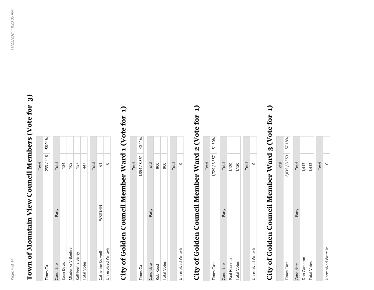# Town of Mountain View Council Members (Vote for 3) **Town of Mountain View Council Members (Vote for 3)**

|                     |          | Total   |        |
|---------------------|----------|---------|--------|
| <b>Times Cast</b>   |          | 233/416 | 56.01% |
|                     |          |         |        |
| Candidate           | Party    | Total   |        |
| Sean Davis          |          | 124     |        |
| Mladenka V Boehrer  |          | 105     |        |
| Kathleen S Bailey   |          | 157     |        |
| <b>Total Votes</b>  |          | 447     |        |
|                     |          | Total   |        |
| Catherine Colwell   | WRITE-IN | 5       |        |
| Unresolved Write-In |          |         |        |

## City of Golden Council Member Ward 1 (Vote for 1) **City of Golden Council Member Ward 1 (Vote for 1)**

|                     |       | <b>Total</b>         |  |
|---------------------|-------|----------------------|--|
| <b>Times Cast</b>   |       | 1,354 / 3,351 40.41% |  |
| Candidate           | Party | Total                |  |
| <b>Rob Reed</b>     |       | 900                  |  |
| <b>Total Votes</b>  |       | 900                  |  |
|                     |       | Total                |  |
| Unresolved Write-In |       |                      |  |

# City of Golden Council Member Ward 2 (Vote for 1) **City of Golden Council Member Ward 2 (Vote for 1)**

|                    |       | Total                |  |
|--------------------|-------|----------------------|--|
| <b>Times Cast</b>  |       | 1,729 / 3,357 51.50% |  |
|                    |       |                      |  |
| Candidate          | Party | Total                |  |
| Paul Haseman       |       | 1,120                |  |
| <b>Total Votes</b> |       | 1,120                |  |
|                    |       | Total                |  |

# City of Golden Council Member Ward 3 (Vote for 1) **City of Golden Council Member Ward 3 (Vote for 1)**

Unresolved Write-In 0

Unresolved Write-In

 $\circ$ 

|                     |       | Total                |  |
|---------------------|-------|----------------------|--|
| <b>Times Cast</b>   |       | 2,035 / 3,559 57.18% |  |
|                     |       |                      |  |
| Candidate           | Party | <b>Total</b>         |  |
| Don Cameron         |       | 1,413                |  |
| <b>Total Votes</b>  |       | 1,413                |  |
|                     |       | Total                |  |
| Unresolved Write-In |       |                      |  |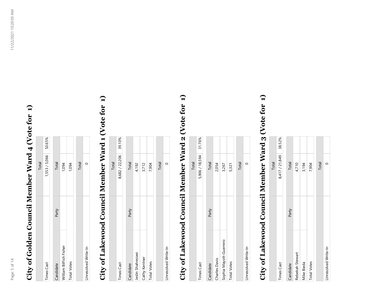# City of Golden Council Member Ward 4 (Vote for 1) **City of Golden Council Member Ward 4 (Vote for 1)**

|                        |       | Total         |        |
|------------------------|-------|---------------|--------|
| Times Cast             |       | 1,553 / 3,066 | 50.65% |
|                        |       |               |        |
| Candidate              | Party | Total         |        |
| William BilFish Fisher |       | 1,094         |        |
| <b>Total Votes</b>     |       | 1,094         |        |
|                        |       | Total         |        |
| Unresolved Write-In    |       |               |        |

# City of Lakewood Council Member Ward 1 (Vote for 1) **City of Lakewood Council Member Ward 1 (Vote for 1)**

|                     |       | Total                 |  |
|---------------------|-------|-----------------------|--|
| <b>Times Cast</b>   |       | 8,682 / 22,206 39.10% |  |
| Candidate           | Party | Total                 |  |
| Jeslin Shahrezaei   |       | 4,192                 |  |
| Cathy Kentner       |       | 3,712                 |  |
| <b>Total Votes</b>  |       | 7,904                 |  |
|                     |       | Total                 |  |
| Unresolved Write-In |       |                       |  |

# City of Lakewood Council Member Ward 2 (Vote for 1) **City of Lakewood Council Member Ward 2 (Vote for 1)**

|                        |       | Total                 |  |
|------------------------|-------|-----------------------|--|
| <b>Times Cast</b>      |       | 5,906 / 18,594 31.76% |  |
| Candidate              | Party | Total                 |  |
| Charles Davis          |       | 2,054                 |  |
| Sophia Mayott-Guerrero |       | 3,267                 |  |
| <b>Total Votes</b>     |       | 5,321                 |  |
|                        |       | Total                 |  |
| Unresolved Write-In    |       |                       |  |

# City of Lakewood Council Member Ward 3 (Vote for 1) **City of Lakewood Council Member Ward 3 (Vote for 1)**

Total

| <b>Times Cast</b>   |       | 8,417 / 21,849 | 38.52% |
|---------------------|-------|----------------|--------|
|                     |       |                |        |
| Candidate           | Party | Total          |        |
| Rebekah Stewart     |       | 4,710          |        |
| Mike Bieda          |       | 3,194          |        |
| <b>Total Votes</b>  |       | 7,904          |        |
|                     |       | Total          |        |
| Unresolved Write-In |       | C              |        |
|                     |       |                |        |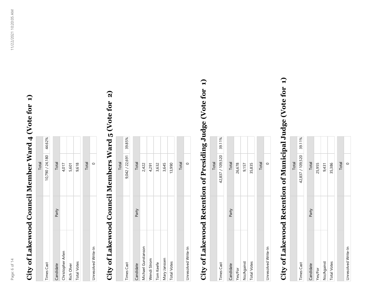# **City of Lakewood Council Member Ward 4 (Vote for 1)**  City of Lakewood Council Member Ward 4 (Vote for 1)

 $T_{\text{total}}$ 

|                     |       | $\frac{1}{2}$          |  |
|---------------------|-------|------------------------|--|
| <b>Times Cast</b>   |       | 10,790 / 24,180 44.62% |  |
|                     |       |                        |  |
| Candidate           | Party | Total                  |  |
| Christopher Arlen   |       | 4,017                  |  |
| Rich Olver          |       | 5,601                  |  |
| <b>Total Votes</b>  |       | 9,618                  |  |
|                     |       |                        |  |
|                     |       | Total                  |  |
| Unresolved Write-In |       |                        |  |

#### **City of Lakewood Council Members Ward 5 (Vote for 2)**   $\Omega$ City of Lakewood Council Members Ward 5 (Vote for

|                     |       | Total          |        |
|---------------------|-------|----------------|--------|
| <b>Times Cast</b>   |       | 9,042 / 22,691 | 39.85% |
|                     |       |                |        |
| Candidate           | Party | Total          |        |
| Michael Gunstanson  |       | 2,422          |        |
| Wendi Strom         |       | 4,291          |        |
| Tom Keefe           |       | 3,632          |        |
| Mary Janssen        |       | 3,645          |        |
| <b>Total Votes</b>  |       | 13,990         |        |
|                     |       |                |        |
|                     |       | Total          |        |
| Unresolved Write-In |       | ⊂              |        |

# **City of Lakewood Retention of Presiding Judge (Vote for 1)**  City of Lakewood Retention of Presiding Judge (Vote for 1)

|                     |       | Total          |        |
|---------------------|-------|----------------|--------|
| <b>Times Cast</b>   |       | 42,837/109,520 | 39.11% |
| Candidate           | Party | <b>Total</b>   |        |
| Yes/For             |       | 26,678         |        |
| No/Against          |       | 9,157          |        |
| <b>Total Votes</b>  |       | 35,835         |        |
|                     |       | Total          |        |
| Unresolved Write-In |       |                |        |

# **City of Lakewood Retention of Municipal Judge (Vote for 1)**  City of Lakewood Retention of Municipal Judge (Vote for 1)

|                     |       | Total          |        |
|---------------------|-------|----------------|--------|
| <b>Times Cast</b>   |       | 42,837/109,520 | 39.11% |
| Candidate           | Party | <b>Total</b>   |        |
| Yes/For             |       | 25,955         |        |
| No/Against          |       | 9,431          |        |
| <b>Total Votes</b>  |       | 35,386         |        |
|                     |       | Total          |        |
| Unresolved Write-In |       |                |        |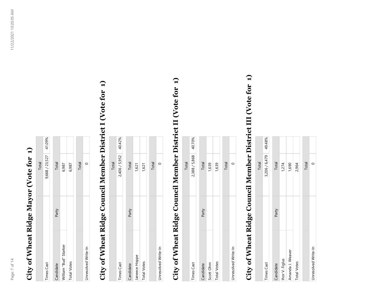### **City of Wheat Ridge Mayor (Vote for 1)**  City of Wheat Ridge Mayor (Vote for 1)

|                       |       | Total                 |  |
|-----------------------|-------|-----------------------|--|
| <b>Times Cast</b>     |       | 9,668 / 23,527 41.09% |  |
| Candidate             | Party | Total                 |  |
| William "Bud" Starker |       | 6,987                 |  |
| <b>Total Votes</b>    |       | 6,987                 |  |
|                       |       | Total                 |  |
| Unresolved Write-In   |       |                       |  |

# **City of Wheat Ridge Council Member District I (Vote for 1)**  City of Wheat Ridge Council Member District I (Vote for 1)

|                     |       | Total                |  |
|---------------------|-------|----------------------|--|
| <b>Times Cast</b>   |       | 2,406 / 5,952 40.42% |  |
| Candidate           | Party | Total                |  |
| Janeece Hoppe       |       | 1,621                |  |
| <b>Total Votes</b>  |       | 1,621                |  |
|                     |       | Total                |  |
| Unresolved Write-In |       |                      |  |

# **City of Wheat Ridge Council Member District II (Vote for 1)**  City of Wheat Ridge Council Member District II (Vote for 1)

|                     |       | Total         |        |
|---------------------|-------|---------------|--------|
| <b>Times Cast</b>   |       | 2,388 / 5,868 | 40.70% |
|                     |       |               |        |
| Candidate           | Party | Total         |        |
| Scott Ohm           |       | 1,639         |        |
| <b>Total Votes</b>  |       | 1,639         |        |
|                     |       | Total         |        |
| Unresolved Write-In |       |               |        |

# **City of Wheat Ridge Council Member District III (Vote for 1)**  City of Wheat Ridge Council Member District III (Vote for 1)

|                     |       | Total         |        |
|---------------------|-------|---------------|--------|
| <b>Times Cast</b>   |       | 3,206 / 6,479 | 49.48% |
| Candidate           | Party | Total         |        |
| Ihor V. Figlus      |       | 1,274         |        |
| Amanda J. Weaver    |       | 1,690         |        |
| <b>Total Votes</b>  |       | 2,964         |        |
|                     |       | Total         |        |
| Unresolved Write-In |       | c             |        |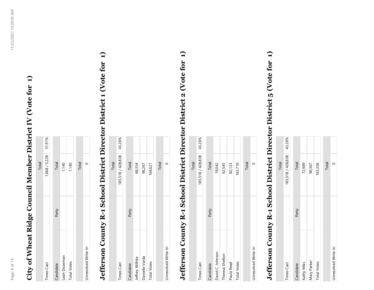# **City of Wheat Ridge Council Member District IV (Vote for 1)**  City of Wheat Ridge Council Member District IV (Vote for 1)

|                     |       | Total                |  |
|---------------------|-------|----------------------|--|
| Times Cast          |       | 1,668 / 5,228 31.91% |  |
|                     |       |                      |  |
| Candidate           | Party | <b>Total</b>         |  |
| Leah Dozeman        |       | 1,140                |  |
| <b>Total Votes</b>  |       | 1,140                |  |
|                     |       | Total                |  |
| Unresolved Write-In |       |                      |  |

# **Jefferson County R-1 School District Director District 1 (Vote for 1)**  Jefferson County R-1 School District Director District 1 (Vote for 1)

|                     |       | Total                    |  |
|---------------------|-------|--------------------------|--|
| Times Cast          |       | 185,518 / 428,838 43.26% |  |
| Candidate           | Party | <b>Total</b>             |  |
| Jeffrey Wilhite     |       | 68,354                   |  |
| Danielle Varda      |       | 96,267                   |  |
| <b>Total Votes</b>  |       | 164,621                  |  |
|                     |       | Total                    |  |
| Unresolved Write-In |       |                          |  |

# **Jefferson County R-1 School District Director District 2 (Vote for 1)**  Jefferson County R-1 School District Director District 2 (Vote for 1)

|                     |       | Total             |        |
|---------------------|-------|-------------------|--------|
| <b>Times Cast</b>   |       | 185,518 / 428,838 | 43.26% |
|                     |       |                   |        |
| Candidate           | Party | Total             |        |
| David C. Johnson    |       | 19,042            |        |
| Theresa Shelton     |       | 62,545            |        |
| Paula Reed          |       | 82,123            |        |
| <b>Total Votes</b>  |       | 163,710           |        |
|                     |       | Total             |        |
| Unresolved Write-In |       |                   |        |

# **Jefferson County R-1 School District Director District 5 (Vote for 1)**  Jefferson County R-1 School District Director District 5 (Vote for 1)

|                     |       | Total             |        |
|---------------------|-------|-------------------|--------|
| <b>Times Cast</b>   |       | 185,518 / 428,838 | 43.26% |
| Candidate           | Party | Total             |        |
| Kathy Miks          |       | 72,989            |        |
| Mary Parker         |       | 90,367            |        |
| <b>Total Votes</b>  |       | 163,356           |        |
|                     |       | Total             |        |
| Unresolved Write-In |       | ⊂                 |        |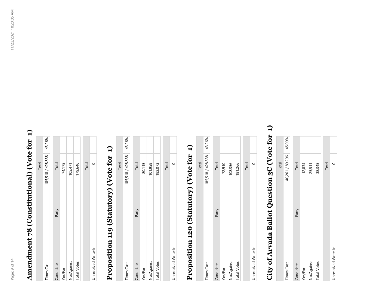### Amendment 78 (Constitutional) (Vote for 1) **Amendment 78 (Constitutional) (Vote for 1)**

|                     |       | Total                    |  |
|---------------------|-------|--------------------------|--|
| <b>Times Cast</b>   |       | 185,518 / 428,838 43.26% |  |
| Candidate           | Party | Total                    |  |
| Yes/For             |       | 74,175                   |  |
| No/Against          |       | 105,471                  |  |
| <b>Total Votes</b>  |       | 179,646                  |  |
|                     |       | Total                    |  |
| Unresolved Write-In |       |                          |  |

### Proposition 119 (Statutory) (Vote for 1) **Proposition 119 (Statutory) (Vote for 1)**

|                     |       | Total                    |  |
|---------------------|-------|--------------------------|--|
| <b>Times Cast</b>   |       | 185,518 / 428,838 43.26% |  |
| Candidate           | Party | Total                    |  |
| Yes/For             |       | 80,115                   |  |
| No/Against          |       | 101,958                  |  |
| <b>Total Votes</b>  |       | 182,073                  |  |
|                     |       | Total                    |  |
| Unresolved Write-In |       |                          |  |

### Proposition 120 (Statutory) (Vote for 1) **Proposition 120 (Statutory) (Vote for 1)**

|                     |       | Total             |        |
|---------------------|-------|-------------------|--------|
| <b>Times Cast</b>   |       | 185,518 / 428,838 | 43.26% |
| Candidate           | Party | Total             |        |
| Yes/For             |       | 72,910            |        |
| No/Against          |       | 108,356           |        |
| <b>Total Votes</b>  |       | 181,266           |        |
|                     |       | Total             |        |
| Unresolved Write-In |       |                   |        |

### City of Arvada Ballot Question 3C (Vote for 1) **City of Arvada Ballot Question 3C (Vote for 1)**

|                     |       | Total           |        |
|---------------------|-------|-----------------|--------|
| <b>Times Cast</b>   |       | 40,261 / 89,296 | 45.09% |
| Candidate           | Party | Total           |        |
| Yes/For             |       | 12,834          |        |
| No/Against          |       | 25,511          |        |
| <b>Total Votes</b>  |       | 38,345          |        |
|                     |       | Total           |        |
| Unresolved Write-In |       |                 |        |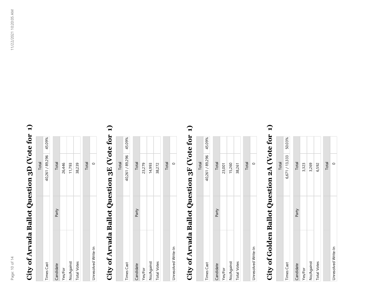### **City of Arvada Ballot Question 3D (Vote for 1)**  City of Arvada Ballot Question 3D (Vote for 1)

|                     |       | Total                  |  |
|---------------------|-------|------------------------|--|
| <b>Times Cast</b>   |       | 40,261 / 89,296 45.09% |  |
| Candidate           | Party | Total                  |  |
| Yes/For             |       | 26,446                 |  |
| No/Against          |       | 11,793                 |  |
| <b>Total Votes</b>  |       | 38,239                 |  |
|                     |       | Total                  |  |
| Unresolved Write-In |       |                        |  |

### **City of Arvada Ballot Question 3E (Vote for 1)**  City of Arvada Ballot Question 3E (Vote for 1)

|                     |       | Total                  |  |
|---------------------|-------|------------------------|--|
| <b>Times Cast</b>   |       | 40,261 / 89,296 45.09% |  |
| Candidate           | Party | Total                  |  |
| Yes/For             |       | 23,279                 |  |
| No/Against          |       | 14,993                 |  |
| <b>Total Votes</b>  |       | 38,272                 |  |
|                     |       | Total                  |  |
| Unresolved Write-In |       |                        |  |

### **City of Arvada Ballot Question 3F (Vote for 1)**  City of Arvada Ballot Question 3F (Vote for 1)

|                     |       | Total           |        |
|---------------------|-------|-----------------|--------|
| <b>Times Cast</b>   |       | 40,261 / 89,296 | 45.09% |
| Candidate           | Party | Total           |        |
| Yes/For             |       | 23,001          |        |
| No/Against          |       | 15,260          |        |
| <b>Total Votes</b>  |       | 38,261          |        |
|                     |       | <b>Total</b>    |        |
| Unresolved Write-In |       |                 |        |

### **City of Golden Ballot Question 2A (Vote for 1)**  City of Golden Ballot Question 2A (Vote for 1)

|                     |       | Total          |        |
|---------------------|-------|----------------|--------|
| <b>Times Cast</b>   |       | 6,671 / 13,333 | 50.03% |
| Candidate           | Party | Total          |        |
| Yes/For             |       | 3,323          |        |
| No/Against          |       | 3,269          |        |
| <b>Total Votes</b>  |       | 6,592          |        |
|                     |       | Total          |        |
| Unresolved Write-In |       |                |        |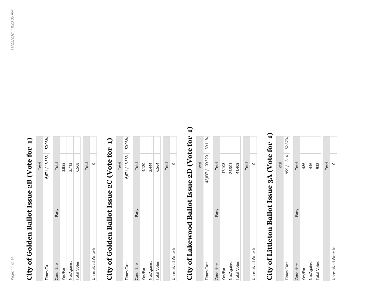### **City of Golden Ballot Issue 2B (Vote for 1)**  City of Golden Ballot Issue 2B (Vote for 1)

|                     |       | Total                 |  |
|---------------------|-------|-----------------------|--|
| <b>Times Cast</b>   |       | 6,671 / 13,333 50.03% |  |
| Candidate           | Party | Total                 |  |
| Yes/For             |       | 3,855                 |  |
| No/Against          |       | 2,713                 |  |
| <b>Total Votes</b>  |       | 6,568                 |  |
|                     |       | Total                 |  |
| Unresolved Write-In |       |                       |  |

### **City of Golden Ballot Issue 2C (Vote for 1)**  City of Golden Ballot Issue 2C (Vote for 1)

|                     |       | <b>Total</b>   |        |
|---------------------|-------|----------------|--------|
| <b>Times Cast</b>   |       | 6,671 / 13,333 | 50.03% |
| Candidate           | Party | Total          |        |
| Yes/For             |       | 4,120          |        |
| No/Against          |       | 2,444          |        |
| <b>Total Votes</b>  |       | 6,564          |        |
|                     |       | Total          |        |
| Unresolved Write-In |       |                |        |

### **City of Lakewood Ballot Issue 2D (Vote for 1)**  City of Lakewood Ballot Issue 2D (Vote for 1)

|                     |       | Total            |        |
|---------------------|-------|------------------|--------|
| <b>Times Cast</b>   |       | 42,837 / 109,520 | 39.11% |
| Candidate           | Party | Total            |        |
| Yes/For             |       | 17,108           |        |
| No/Against          |       | 24,301           |        |
| <b>Total Votes</b>  |       | 41,409           |        |
|                     |       | Total            |        |
| Unresolved Write-In |       |                  |        |

### **City of Littleton Ballot Issue 3A (Vote for 1)**  City of Littleton Ballot Issue 3A (Vote for 1)

|                     |       | Total     |        |
|---------------------|-------|-----------|--------|
| <b>Times Cast</b>   |       | 959/1,814 | 52.87% |
| Candidate           | Party | Total     |        |
| Yes/For             |       | 486       |        |
| No/Against          |       | 446       |        |
| <b>Total Votes</b>  |       | 932       |        |
|                     |       | Total     |        |
| Unresolved Write-In |       |           |        |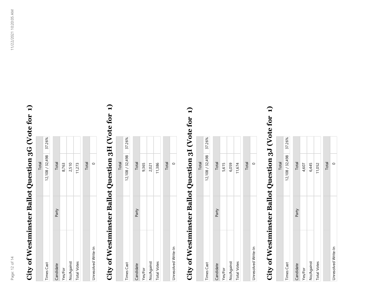# **City of Westminster Ballot Question 3G (Vote for 1)**  City of Westminster Ballot Question 3G (Vote for 1)

|                     |       | Total           |        |
|---------------------|-------|-----------------|--------|
| <b>Times Cast</b>   |       | 12,108 / 32,498 | 37.26% |
| Candidate           | Party | Total           |        |
| Yes/For             |       | 8,763           |        |
| No/Against          |       | 2,510           |        |
| <b>Total Votes</b>  |       | 11,273          |        |
|                     |       | Total           |        |
| Unresolved Write-In |       |                 |        |

# **City of Westminster Ballot Question 3H (Vote for 1)**  City of Westminster Ballot Question 3H (Vote for 1)

|                     |       | Total                  |  |
|---------------------|-------|------------------------|--|
| <b>Times Cast</b>   |       | 12,108 / 32,498 37.26% |  |
| Candidate           | Party | <b>Total</b>           |  |
| Yes/For             |       | 9,365                  |  |
| No/Against          |       | 2,021                  |  |
| <b>Total Votes</b>  |       | 11,386                 |  |
|                     |       | Total                  |  |
| Unresolved Write-In |       |                        |  |

## **City of Westminster Ballot Question 3I (Vote for 1)**  City of Westminster Ballot Question 3I (Vote for 1)

|                     |       | Total           |        |
|---------------------|-------|-----------------|--------|
| <b>Times Cast</b>   |       | 12,108 / 32,498 | 37.26% |
| Candidate           | Party | Total           |        |
| Yes/For             |       | 5,615           |        |
| No/Against          |       | 6,059           |        |
| <b>Total Votes</b>  |       | 11,674          |        |
|                     |       | Total           |        |
| Unresolved Write-In |       |                 |        |

# **City of Westminster Ballot Question 3J (Vote for 1)**  City of Westminster Ballot Question 3J (Vote for 1)

|                     |       | Total           |        |
|---------------------|-------|-----------------|--------|
| <b>Times Cast</b>   |       | 12,108 / 32,498 | 37.26% |
| Candidate           | Party | Total           |        |
| Yes/For             |       | 4,607           |        |
| No/Against          |       | 6,445           |        |
| <b>Total Votes</b>  |       | 11,052          |        |
|                     |       | Total           |        |
| Unresolved Write-In |       |                 |        |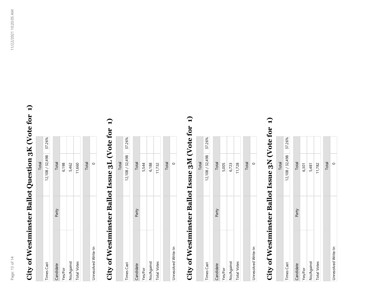# **City of Westminster Ballot Question 3K (Vote for 1)**  City of Westminster Ballot Question 3K (Vote for 1)

|                     |       | Total           |        |
|---------------------|-------|-----------------|--------|
| Times Cast          |       | 12,108 / 32,498 | 37.26% |
|                     |       |                 |        |
| Candidate           | Party | Total           |        |
| Yes/For             |       | 6,198           |        |
| No/Against          |       | 5,462           |        |
| <b>Total Votes</b>  |       | 11,660          |        |
|                     |       |                 |        |
|                     |       | Total           |        |
| Unresolved Write-In |       |                 |        |

### **City of Westminster Ballot Issue 3L (Vote for 1)**  City of Westminster Ballot Issue 3L (Vote for 1)

|                     |       | Total                  |  |
|---------------------|-------|------------------------|--|
| <b>Times Cast</b>   |       | 12,108 / 32,498 37.26% |  |
| Candidate           | Party | Total                  |  |
| Yes/For             |       | 5,544                  |  |
| No/Against          |       | 6,188                  |  |
| <b>Total Votes</b>  |       | 11,732                 |  |
|                     |       | Total                  |  |
| Unresolved Write-In |       |                        |  |

### **City of Westminster Ballot Issue 3M (Vote for 1)**  City of Westminster Ballot Issue 3M (Vote for 1)

|                     |       | Total             |        |
|---------------------|-------|-------------------|--------|
| <b>Times Cast</b>   |       | 12, 108 / 32, 498 | 37.26% |
| Candidate           | Party | Total             |        |
| Yes/For             |       | 5,005             |        |
| No/Against          |       | 6,723             |        |
| <b>Total Votes</b>  |       | 11,728            |        |
|                     |       | Total             |        |
| Unresolved Write-In |       |                   |        |

### **City of Westminster Ballot Issue 3N (Vote for 1)**  City of Westminster Ballot Issue 3N (Vote for 1)

|                     |       | Total           |        |
|---------------------|-------|-----------------|--------|
| <b>Times Cast</b>   |       | 12,108 / 32,498 | 37.26% |
| Candidate           | Party | Total           |        |
| Yes/For             |       | 6,301           |        |
| No/Against          |       | 5,481           |        |
| <b>Total Votes</b>  |       | 11,782          |        |
|                     |       | Total           |        |
| Unresolved Write-In |       |                 |        |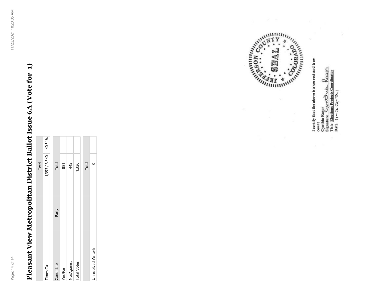# **Pleasant View Metropolitan District Ballot Issue 6A (Vote for 1)**  Pleasant View Metropolitan District Ballot Issue 6A (Vote for 1)

|                     |       | <b>Total</b>           |  |
|---------------------|-------|------------------------|--|
| Times Cast          |       | $1,353 / 3,340$ 40.51% |  |
|                     |       |                        |  |
| Candidate           | Party | Total                  |  |
| Yes/For             |       | 881                    |  |
| No/Against          |       | 445                    |  |
| <b>Total Votes</b>  |       | 1,326                  |  |
|                     |       |                        |  |
|                     |       | Total                  |  |
| Unresolved Write-In |       |                        |  |

**READ ATTACK ON CONSULTANT READ AND INTERNATIONAL PROPERTY** 

I certify that the above is a correct and true Cynthia Rasor<br>Signature CyyrodDouds Resagn<br>Title Elections Projects Coordinator<br>Date 11- 2 2 2 2 1 count